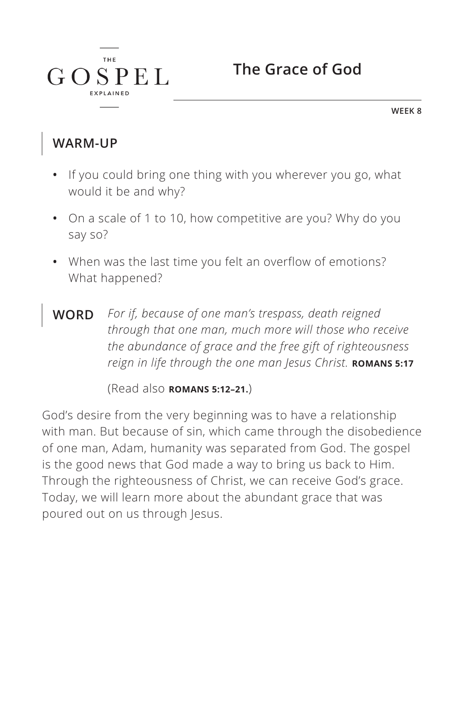

**WEEK 8**

#### **WARM-UP**

 $G$ 

**THE** 

 $\zeta$  P E L

- **•** If you could bring one thing with you wherever you go, what would it be and why?
- **•** On a scale of 1 to 10, how competitive are you? Why do you say so?
- **•** When was the last time you felt an overflow of emotions? What happened?
- **WORD** *For if, because of one man's trespass, death reigned through that one man, much more will those who receive the abundance of grace and the free gift of righteousness reign in life through the one man lesus Christ.* **ROMANS 5:17**

(Read also **ROMANS 5:12-21.**)

God's desire from the very beginning was to have a relationship with man. But because of sin, which came through the disobedience of one man, Adam, humanity was separated from God. The gospel is the good news that God made a way to bring us back to Him. Through the righteousness of Christ, we can receive God's grace. Today, we will learn more about the abundant grace that was poured out on us through Jesus.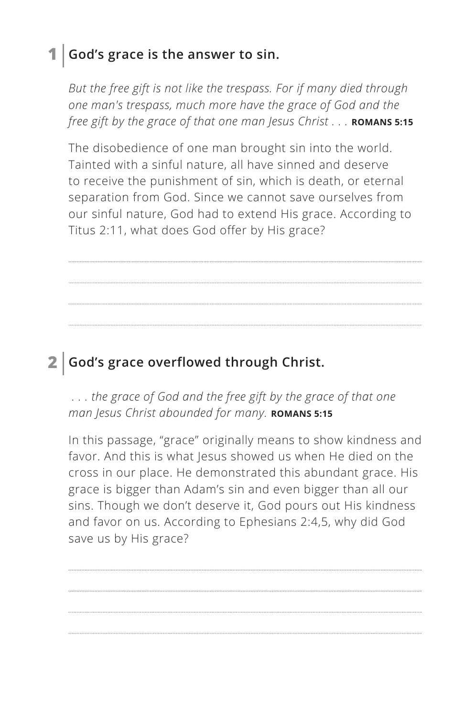### **1 God's grace is the answer to sin.**

*But the free gift is not like the trespass. For if many died through one man's trespass, much more have the grace of God and the free gift by the grace of that one man Jesus Christ . . . ROMANS 5:15* 

The disobedience of one man brought sin into the world. Tainted with a sinful nature, all have sinned and deserve to receive the punishment of sin, which is death, or eternal separation from God. Since we cannot save ourselves from our sinful nature, God had to extend His grace. According to Titus 2:11, what does God offer by His grace?

### **2 God's grace overflowed through Christ.**

 *. . . the grace of God and the free gift by the grace of that one man Jesus Christ abounded for many.* **ROMANS 5:15** 

In this passage, "grace" originally means to show kindness and favor. And this is what Jesus showed us when He died on the cross in our place. He demonstrated this abundant grace. His grace is bigger than Adam's sin and even bigger than all our sins. Though we don't deserve it, God pours out His kindness and favor on us. According to Ephesians 2:4,5, why did God save us by His grace?

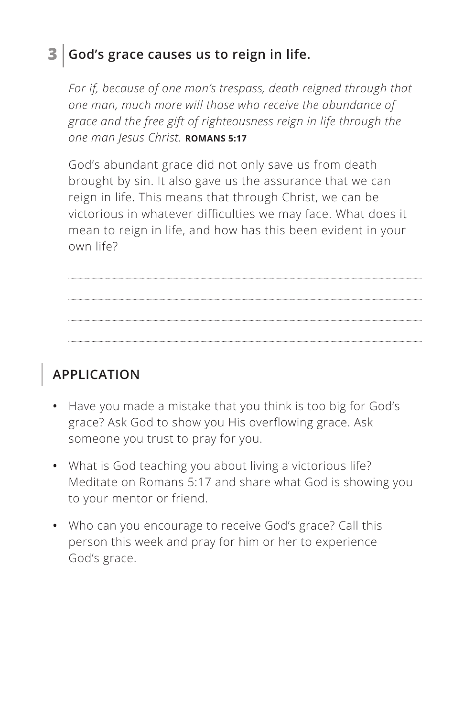### **3 God's grace causes us to reign in life.**

For if, because of one man's trespass, death reigned through that *one man, much more will those who receive the abundance of grace and the free gift of righteousness reign in life through the one man Jesus Christ. ^***ROMANS 5:17**

God's abundant grace did not only save us from death brought by sin. It also gave us the assurance that we can reign in life. This means that through Christ, we can be victorious in whatever difficulties we may face. What does it mean to reign in life, and how has this been evident in your own life?

# **APPLICATION**

- **•** Have you made a mistake that you think is too big for God's grace? Ask God to show you His overflowing grace. Ask someone you trust to pray for you.
- **•** What is God teaching you about living a victorious life? Meditate on Romans 5:17 and share what God is showing you to your mentor or friend.
- **•** Who can you encourage to receive God's grace? Call this person this week and pray for him or her to experience God's grace.